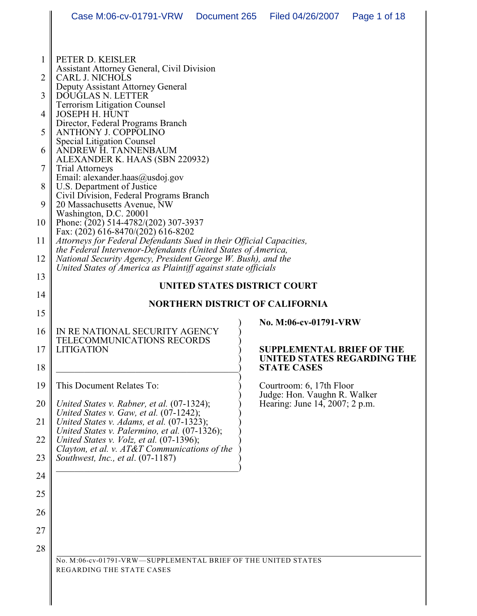| 1        | PETER D. KEISLER                                                                                                                    |                                  |  |
|----------|-------------------------------------------------------------------------------------------------------------------------------------|----------------------------------|--|
| 2        | Assistant Attorney General, Civil Division<br>CARL J. NICHOLS                                                                       |                                  |  |
|          | Deputy Assistant Attorney General                                                                                                   |                                  |  |
| 3        | DOUGLAS N. LETTER                                                                                                                   |                                  |  |
|          | <b>Terrorism Litigation Counsel</b>                                                                                                 |                                  |  |
| 4        | JOSEPH H. HUNT<br>Director, Federal Programs Branch                                                                                 |                                  |  |
| 5        | <b>ANTHONY J. COPPOLINO</b>                                                                                                         |                                  |  |
|          | <b>Special Litigation Counsel</b>                                                                                                   |                                  |  |
| 6        | ANDREW H. TANNENBAUM                                                                                                                |                                  |  |
| 7        | ALEXANDER K. HAAS (SBN 220932)<br><b>Trial Attorneys</b>                                                                            |                                  |  |
|          | Email: alexander.haas@usdoj.gov                                                                                                     |                                  |  |
| 8        | U.S. Department of Justice                                                                                                          |                                  |  |
| 9        | Civil Division, Federal Programs Branch<br>20 Massachusetts Avenue, NW                                                              |                                  |  |
|          | Washington, D.C. 20001                                                                                                              |                                  |  |
| 10       | Phone: $(202)$ 514-4782/(202) 307-3937                                                                                              |                                  |  |
|          | Fax: (202) 616-8470/(202) 616-8202                                                                                                  |                                  |  |
| 11       | Attorneys for Federal Defendants Sued in their Official Capacities,<br>the Federal Intervenor-Defendants (United States of America, |                                  |  |
| 12       | National Security Agency, President George W. Bush), and the                                                                        |                                  |  |
|          | United States of America as Plaintiff against state officials                                                                       |                                  |  |
| 13       |                                                                                                                                     |                                  |  |
| 14       | UNITED STATES DISTRICT COURT                                                                                                        |                                  |  |
|          | <b>NORTHERN DISTRICT OF CALIFORNIA</b>                                                                                              |                                  |  |
| 15       |                                                                                                                                     | No. M:06-cv-01791-VRW            |  |
| 16       | IN RE NATIONAL SECURITY AGENCY                                                                                                      |                                  |  |
|          |                                                                                                                                     |                                  |  |
|          | TELECOMMUNICATIONS RECORDS                                                                                                          |                                  |  |
| 17       | <b>LITIGATION</b>                                                                                                                   | <b>SUPPLEMENTAL BRIEF OF THE</b> |  |
|          |                                                                                                                                     | UNITED STATES REGARDING THE      |  |
| 18       |                                                                                                                                     | <b>STATE CASES</b>               |  |
| 19       | This Document Relates To:                                                                                                           | Courtroom: 6, 17th Floor         |  |
|          |                                                                                                                                     | Judge: Hon. Vaughn R. Walker     |  |
| 20       | United States v. Rabner, et al. (07-1324);                                                                                          | Hearing: June 14, 2007; 2 p.m.   |  |
| 21       | United States v. Gaw, et al. (07-1242);<br>United States v. Adams, et al. $(07-1323)$ ;                                             |                                  |  |
|          | United States v. Palermino, et al. (07-1326);                                                                                       |                                  |  |
| 22       | United States v. Volz, et al. (07-1396);                                                                                            |                                  |  |
| 23       | Clayton, et al. v. AT&T Communications of the<br>Southwest, Inc., et al. (07-1187)                                                  |                                  |  |
|          |                                                                                                                                     |                                  |  |
| 24       |                                                                                                                                     |                                  |  |
|          |                                                                                                                                     |                                  |  |
|          |                                                                                                                                     |                                  |  |
|          |                                                                                                                                     |                                  |  |
| 25<br>26 |                                                                                                                                     |                                  |  |
| 27       |                                                                                                                                     |                                  |  |
| 28       |                                                                                                                                     |                                  |  |

No. M:06-cv-01791-VRW—SUPPLEMENTAL BRIEF OF THE UNITED STATES REGARDING THE STATE CASES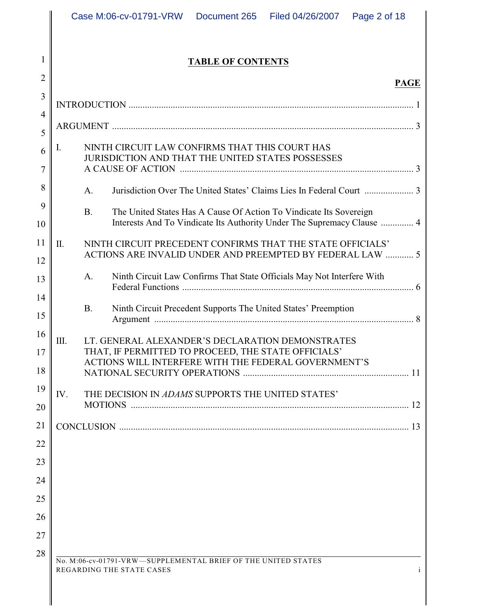# **TABLE OF CONTENTS**

1

2

# **PAGE**

| 3              |      |                                                                                                                                                           |
|----------------|------|-----------------------------------------------------------------------------------------------------------------------------------------------------------|
| $\overline{4}$ |      |                                                                                                                                                           |
| 5              |      |                                                                                                                                                           |
| 6              | I.   | NINTH CIRCUIT LAW CONFIRMS THAT THIS COURT HAS<br><b>JURISDICTION AND THAT THE UNITED STATES POSSESSES</b>                                                |
| $\overline{7}$ |      |                                                                                                                                                           |
| 8              |      | A.                                                                                                                                                        |
| 9<br>10        |      | <b>B.</b><br>The United States Has A Cause Of Action To Vindicate Its Sovereign<br>Interests And To Vindicate Its Authority Under The Supremacy Clause  4 |
| 11             | Π.   | NINTH CIRCUIT PRECEDENT CONFIRMS THAT THE STATE OFFICIALS'<br>ACTIONS ARE INVALID UNDER AND PREEMPTED BY FEDERAL LAW  5                                   |
| 12<br>13       |      | Ninth Circuit Law Confirms That State Officials May Not Interfere With<br>A.                                                                              |
| 14             |      |                                                                                                                                                           |
| 15             |      | Ninth Circuit Precedent Supports The United States' Preemption<br><b>B.</b>                                                                               |
| 16             | III. | LT. GENERAL ALEXANDER'S DECLARATION DEMONSTRATES                                                                                                          |
| 17             |      | THAT, IF PERMITTED TO PROCEED, THE STATE OFFICIALS'<br>ACTIONS WILL INTERFERE WITH THE FEDERAL GOVERNMENT'S                                               |
| 18             |      |                                                                                                                                                           |
| 19<br>20       | IV.  | THE DECISION IN ADAMS SUPPORTS THE UNITED STATES'                                                                                                         |
| 21             |      |                                                                                                                                                           |
| 22             |      |                                                                                                                                                           |
| 23             |      |                                                                                                                                                           |
| 24             |      |                                                                                                                                                           |
| 25             |      |                                                                                                                                                           |
| 26             |      |                                                                                                                                                           |
| 27             |      |                                                                                                                                                           |
| 28             |      |                                                                                                                                                           |
|                |      | No. M:06-cv-01791-VRW-SUPPLEMENTAL BRIEF OF THE UNITED STATES<br>REGARDING THE STATE CASES<br>$\mathbf{i}$                                                |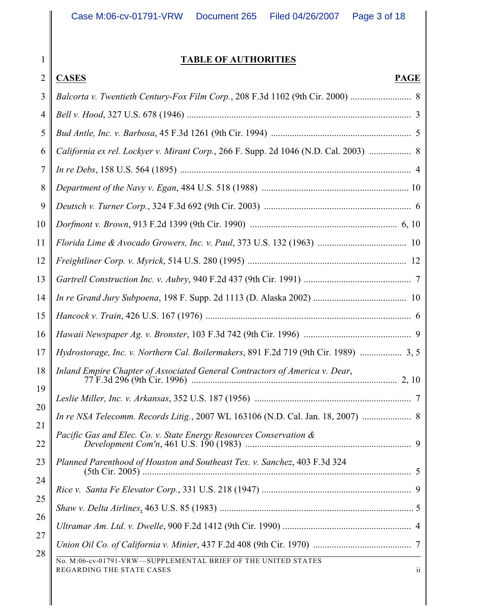# **TABLE OF AUTHORITIES**

| $\overline{2}$ | <b>CASES</b><br><b>PAGE</b>                                                                                           |
|----------------|-----------------------------------------------------------------------------------------------------------------------|
| 3              | Balcorta v. Twentieth Century-Fox Film Corp., 208 F.3d 1102 (9th Cir. 2000)  8                                        |
| $\overline{4}$ |                                                                                                                       |
| 5              |                                                                                                                       |
| 6              | California ex rel. Lockyer v. Mirant Corp., 266 F. Supp. 2d 1046 (N.D. Cal. 2003)  8                                  |
| 7              |                                                                                                                       |
| 8              |                                                                                                                       |
| 9              |                                                                                                                       |
| 10             |                                                                                                                       |
| 11             |                                                                                                                       |
| 12             |                                                                                                                       |
| 13             |                                                                                                                       |
| 14             |                                                                                                                       |
| 15             |                                                                                                                       |
| 16             |                                                                                                                       |
| 17             | Hydrostorage, Inc. v. Northern Cal. Boilermakers, 891 F.2d 719 (9th Cir. 1989)  3, 5                                  |
| 18             | Inland Empire Chapter of Associated General Contractors of America v. Dear,                                           |
| 19             |                                                                                                                       |
| 20             | In re NSA Telecomm. Records Litig., 2007 WL 163106 (N.D. Cal. Jan. 18, 2007)  8                                       |
| 21<br>22       | Pacific Gas and Elec. Co. v. State Energy Resources Conservation &                                                    |
| 23             | Planned Parenthood of Houston and Southeast Tex. v. Sanchez, 403 F.3d 324                                             |
| 24             |                                                                                                                       |
| 25             |                                                                                                                       |
| 26             |                                                                                                                       |
| 27             |                                                                                                                       |
| 28             | No. M:06-cv-01791-VRW-SUPPLEMENTAL BRIEF OF THE UNITED STATES<br>REGARDING THE STATE CASES<br>$\overline{\mathbf{1}}$ |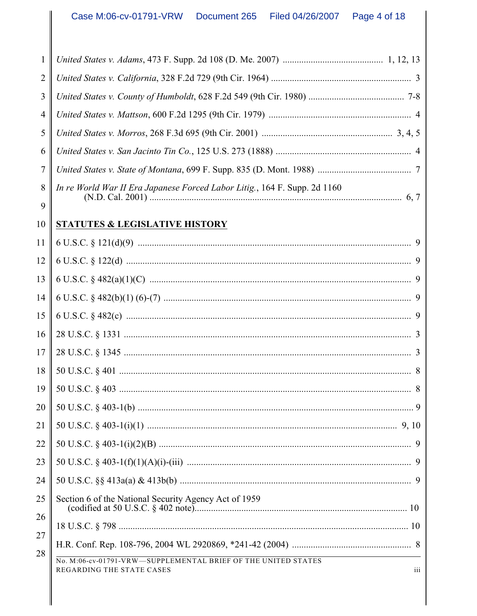| 1               |                                                                                                   |
|-----------------|---------------------------------------------------------------------------------------------------|
| $\overline{2}$  |                                                                                                   |
| 3               |                                                                                                   |
| $\overline{4}$  |                                                                                                   |
| 5               |                                                                                                   |
| 6               |                                                                                                   |
| $\tau$          |                                                                                                   |
| 8<br>9          | In re World War II Era Japanese Forced Labor Litig., 164 F. Supp. 2d 1160                         |
| 10              | <b>STATUTES &amp; LEGISLATIVE HISTORY</b>                                                         |
| 11              |                                                                                                   |
| 12              |                                                                                                   |
| 13              |                                                                                                   |
| 14              |                                                                                                   |
| 15              |                                                                                                   |
| 16              |                                                                                                   |
| 17              |                                                                                                   |
| 18              |                                                                                                   |
| 19              |                                                                                                   |
| 20              |                                                                                                   |
| $\overline{21}$ |                                                                                                   |
| 22              |                                                                                                   |
| 23              |                                                                                                   |
| 24              |                                                                                                   |
| 25<br>26        | Section 6 of the National Security Agency Act of 1959                                             |
| 27              |                                                                                                   |
| 28              |                                                                                                   |
|                 | No. M:06-cv-01791-VRW-SUPPLEMENTAL BRIEF OF THE UNITED STATES<br>iii<br>REGARDING THE STATE CASES |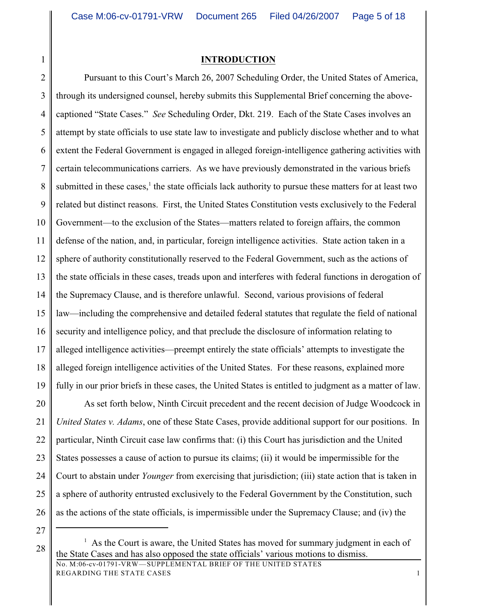1

### **INTRODUCTION**

2 3 4 5 6 7 8 9 10 11 12 13 14 15 16 17 18 19 Pursuant to this Court's March 26, 2007 Scheduling Order, the United States of America, through its undersigned counsel, hereby submits this Supplemental Brief concerning the abovecaptioned "State Cases." *See* Scheduling Order, Dkt. 219. Each of the State Cases involves an attempt by state officials to use state law to investigate and publicly disclose whether and to what extent the Federal Government is engaged in alleged foreign-intelligence gathering activities with certain telecommunications carriers. As we have previously demonstrated in the various briefs submitted in these cases,<sup>1</sup> the state officials lack authority to pursue these matters for at least two related but distinct reasons. First, the United States Constitution vests exclusively to the Federal Government—to the exclusion of the States—matters related to foreign affairs, the common defense of the nation, and, in particular, foreign intelligence activities. State action taken in a sphere of authority constitutionally reserved to the Federal Government, such as the actions of the state officials in these cases, treads upon and interferes with federal functions in derogation of the Supremacy Clause, and is therefore unlawful. Second, various provisions of federal law—including the comprehensive and detailed federal statutes that regulate the field of national security and intelligence policy, and that preclude the disclosure of information relating to alleged intelligence activities—preempt entirely the state officials' attempts to investigate the alleged foreign intelligence activities of the United States. For these reasons, explained more fully in our prior briefs in these cases, the United States is entitled to judgment as a matter of law.

20 21 22 23 24 25 26 As set forth below, Ninth Circuit precedent and the recent decision of Judge Woodcock in *United States v. Adams*, one of these State Cases, provide additional support for our positions. In particular, Ninth Circuit case law confirms that: (i) this Court has jurisdiction and the United States possesses a cause of action to pursue its claims; (ii) it would be impermissible for the Court to abstain under *Younger* from exercising that jurisdiction; (iii) state action that is taken in a sphere of authority entrusted exclusively to the Federal Government by the Constitution, such as the actions of the state officials, is impermissible under the Supremacy Clause; and (iv) the

 $28 \parallel$  As the Court is aware, the United States has moved for summary judgment in each of the State Cases and has also opposed the state officials' various motions to dismiss.

No. M:06-cv-01791-VRW—SUPPLEMENTAL BRIEF OF THE UNITED STATES REGARDING THE STATE CASES 1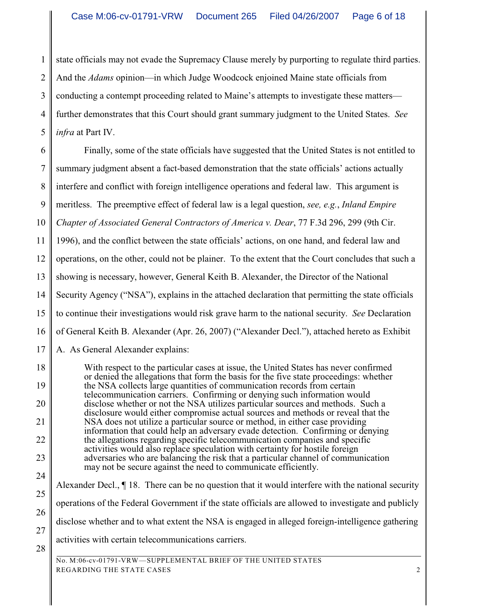1 state officials may not evade the Supremacy Clause merely by purporting to regulate third parties.

2 And the *Adams* opinion—in which Judge Woodcock enjoined Maine state officials from

3 conducting a contempt proceeding related to Maine's attempts to investigate these matters—

4 further demonstrates that this Court should grant summary judgment to the United States. *See*

5 *infra* at Part IV.

6 7 8 Finally, some of the state officials have suggested that the United States is not entitled to summary judgment absent a fact-based demonstration that the state officials' actions actually interfere and conflict with foreign intelligence operations and federal law. This argument is

9 meritless. The preemptive effect of federal law is a legal question, *see, e.g.*, *Inland Empire*

10 *Chapter of Associated General Contractors of America v. Dear*, 77 F.3d 296, 299 (9th Cir.

11 1996), and the conflict between the state officials' actions, on one hand, and federal law and

12 operations, on the other, could not be plainer. To the extent that the Court concludes that such a

13 showing is necessary, however, General Keith B. Alexander, the Director of the National

14 Security Agency ("NSA"), explains in the attached declaration that permitting the state officials

15 to continue their investigations would risk grave harm to the national security. *See* Declaration

16 of General Keith B. Alexander (Apr. 26, 2007) ("Alexander Decl."), attached hereto as Exhibit

17 A. As General Alexander explains:

18 19 20 21 22 23 24 With respect to the particular cases at issue, the United States has never confirmed or denied the allegations that form the basis for the five state proceedings: whether the NSA collects large quantities of communication records from certain telecommunication carriers. Confirming or denying such information would disclose whether or not the NSA utilizes particular sources and methods. Such a disclosure would either compromise actual sources and methods or reveal that the NSA does not utilize a particular source or method, in either case providing information that could help an adversary evade detection. Confirming or denying the allegations regarding specific telecommunication companies and specific activities would also replace speculation with certainty for hostile foreign adversaries who are balancing the risk that a particular channel of communication may not be secure against the need to communicate efficiently.

- 25 26 27 Alexander Decl., ¶ 18. There can be no question that it would interfere with the national security operations of the Federal Government if the state officials are allowed to investigate and publicly disclose whether and to what extent the NSA is engaged in alleged foreign-intelligence gathering activities with certain telecommunications carriers.
- 28

No. M:06-cv-01791-VRW—SUPPLEMENTAL BRIEF OF THE UNITED STATES REGARDING THE STATE CASES 2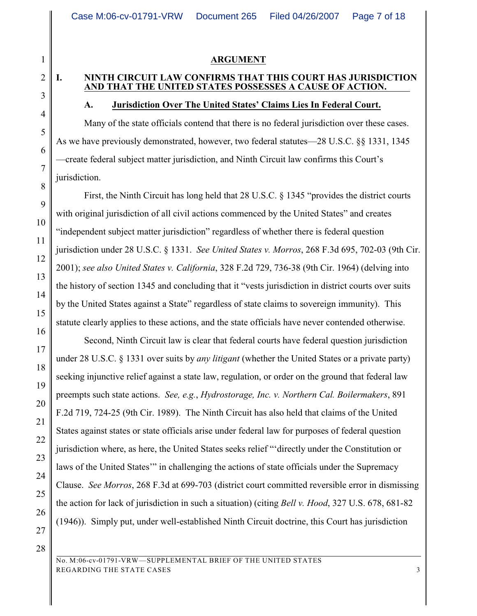### **ARGUMENT**

#### **I. NINTH CIRCUIT LAW CONFIRMS THAT THIS COURT HAS JURISDICTION AND THAT THE UNITED STATES POSSESSES A CAUSE OF ACTION.**

#### **A. Jurisdiction Over The United States' Claims Lies In Federal Court.**

Many of the state officials contend that there is no federal jurisdiction over these cases. As we have previously demonstrated, however, two federal statutes—28 U.S.C. §§ 1331, 1345 —create federal subject matter jurisdiction, and Ninth Circuit law confirms this Court's jurisdiction.

First, the Ninth Circuit has long held that 28 U.S.C. § 1345 "provides the district courts with original jurisdiction of all civil actions commenced by the United States" and creates "independent subject matter jurisdiction" regardless of whether there is federal question jurisdiction under 28 U.S.C. § 1331. *See United States v. Morros*, 268 F.3d 695, 702-03 (9th Cir. 2001); *see also United States v. California*, 328 F.2d 729, 736-38 (9th Cir. 1964) (delving into the history of section 1345 and concluding that it "vests jurisdiction in district courts over suits by the United States against a State" regardless of state claims to sovereign immunity). This statute clearly applies to these actions, and the state officials have never contended otherwise.

Second, Ninth Circuit law is clear that federal courts have federal question jurisdiction under 28 U.S.C. § 1331 over suits by *any litigant* (whether the United States or a private party) seeking injunctive relief against a state law, regulation, or order on the ground that federal law preempts such state actions. *See, e.g.*, *Hydrostorage, Inc. v. Northern Cal. Boilermakers*, 891 F.2d 719, 724-25 (9th Cir. 1989). The Ninth Circuit has also held that claims of the United States against states or state officials arise under federal law for purposes of federal question jurisdiction where, as here, the United States seeks relief "'directly under the Constitution or laws of the United States'" in challenging the actions of state officials under the Supremacy Clause. *See Morros*, 268 F.3d at 699-703 (district court committed reversible error in dismissing the action for lack of jurisdiction in such a situation) (citing *Bell v. Hood*, 327 U.S. 678, 681-82 (1946)). Simply put, under well-established Ninth Circuit doctrine, this Court has jurisdiction

28

1

2

3

4

5

6

7

8

9

10

11

12

13

14

15

16

17

18

19

20

21

22

23

24

25

26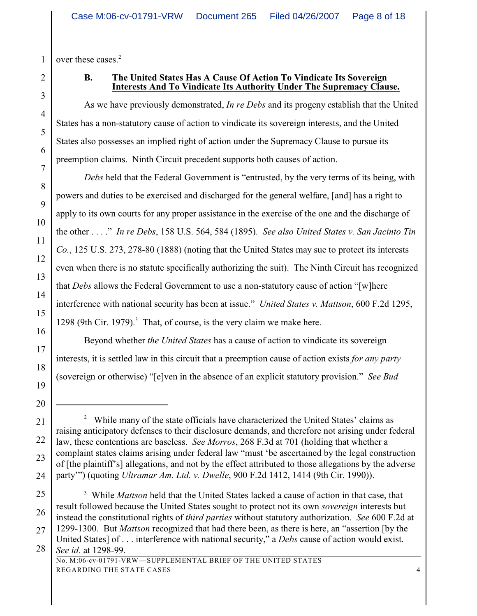1 over these cases.<sup>2</sup>

2

3

4

5

6

7

8

9

10

11

12

13

14

15

16

17

18

19

20

### **B. The United States Has A Cause Of Action To Vindicate Its Sovereign Interests And To Vindicate Its Authority Under The Supremacy Clause.**

As we have previously demonstrated, *In re Debs* and its progeny establish that the United States has a non-statutory cause of action to vindicate its sovereign interests, and the United States also possesses an implied right of action under the Supremacy Clause to pursue its preemption claims. Ninth Circuit precedent supports both causes of action.

*Debs* held that the Federal Government is "entrusted, by the very terms of its being, with powers and duties to be exercised and discharged for the general welfare, [and] has a right to apply to its own courts for any proper assistance in the exercise of the one and the discharge of the other . . . ." *In re Debs*, 158 U.S. 564, 584 (1895). *See also United States v. San Jacinto Tin Co.*, 125 U.S. 273, 278-80 (1888) (noting that the United States may sue to protect its interests even when there is no statute specifically authorizing the suit). The Ninth Circuit has recognized that *Debs* allows the Federal Government to use a non-statutory cause of action "[w]here interference with national security has been at issue." *United States v. Mattson*, 600 F.2d 1295, 1298 (9th Cir. 1979).<sup>3</sup> That, of course, is the very claim we make here.

Beyond whether *the United States* has a cause of action to vindicate its sovereign interests, it is settled law in this circuit that a preemption cause of action exists *for any party* (sovereign or otherwise) "[e]ven in the absence of an explicit statutory provision." *See Bud*

<sup>21</sup> 22 23 24 <sup>2</sup> While many of the state officials have characterized the United States' claims as raising anticipatory defenses to their disclosure demands, and therefore not arising under federal law, these contentions are baseless. *See Morros*, 268 F.3d at 701 (holding that whether a complaint states claims arising under federal law "must 'be ascertained by the legal construction of [the plaintiff's] allegations, and not by the effect attributed to those allegations by the adverse party'") (quoting *Ultramar Am. Ltd. v. Dwelle*, 900 F.2d 1412, 1414 (9th Cir. 1990)).

<sup>25</sup> 26 27 <sup>3</sup> While *Mattson* held that the United States lacked a cause of action in that case, that result followed because the United States sought to protect not its own *sovereign* interests but instead the constitutional rights of *third parties* without statutory authorization. *See* 600 F.2d at 1299-1300. But *Mattson* recognized that had there been, as there is here, an "assertion [by the United States] of . . . interference with national security," a *Debs* cause of action would exist.

<sup>28</sup> *See id.* at 1298-99. No. M:06-cv-01791-VRW—SUPPLEMENTAL BRIEF OF THE UNITED STATES REGARDING THE STATE CASES 4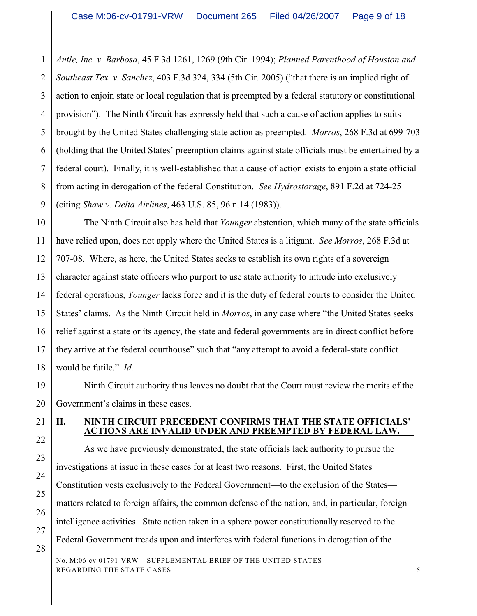1 2 3 4 5 6 7 8 9 *Antle, Inc. v. Barbosa*, 45 F.3d 1261, 1269 (9th Cir. 1994); *Planned Parenthood of Houston and Southeast Tex. v. Sanchez*, 403 F.3d 324, 334 (5th Cir. 2005) ("that there is an implied right of action to enjoin state or local regulation that is preempted by a federal statutory or constitutional provision"). The Ninth Circuit has expressly held that such a cause of action applies to suits brought by the United States challenging state action as preempted. *Morros*, 268 F.3d at 699-703 (holding that the United States' preemption claims against state officials must be entertained by a federal court). Finally, it is well-established that a cause of action exists to enjoin a state official from acting in derogation of the federal Constitution. *See Hydrostorage*, 891 F.2d at 724-25 (citing *Shaw v. Delta Airlines*, 463 U.S. 85, 96 n.14 (1983)).

10 11 12 13 14 15 16 17 18 The Ninth Circuit also has held that *Younger* abstention, which many of the state officials have relied upon, does not apply where the United States is a litigant. *See Morros*, 268 F.3d at 707-08. Where, as here, the United States seeks to establish its own rights of a sovereign character against state officers who purport to use state authority to intrude into exclusively federal operations, *Younger* lacks force and it is the duty of federal courts to consider the United States' claims. As the Ninth Circuit held in *Morros*, in any case where "the United States seeks relief against a state or its agency, the state and federal governments are in direct conflict before they arrive at the federal courthouse" such that "any attempt to avoid a federal-state conflict would be futile." *Id.*

19 20 Ninth Circuit authority thus leaves no doubt that the Court must review the merits of the Government's claims in these cases.

# **II. NINTH CIRCUIT PRECEDENT CONFIRMS THAT THE STATE OFFICIALS' ACTIONS ARE INVALID UNDER AND PREEMPTED BY FEDERAL LAW.**

As we have previously demonstrated, the state officials lack authority to pursue the investigations at issue in these cases for at least two reasons. First, the United States Constitution vests exclusively to the Federal Government—to the exclusion of the States matters related to foreign affairs, the common defense of the nation, and, in particular, foreign intelligence activities. State action taken in a sphere power constitutionally reserved to the Federal Government treads upon and interferes with federal functions in derogation of the

21

22

23

24

25

26

27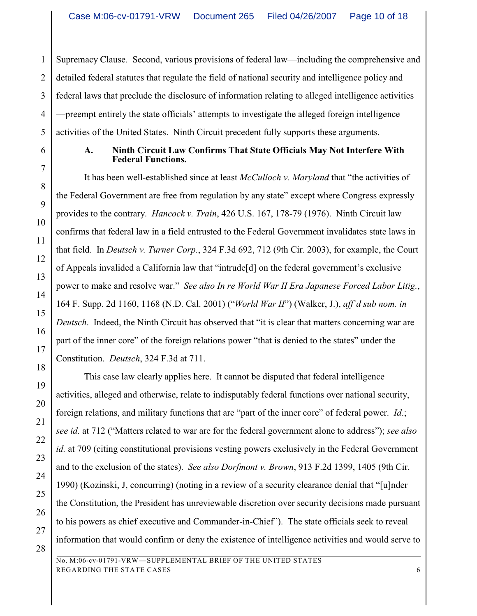1 2 3 4 5 Supremacy Clause. Second, various provisions of federal law—including the comprehensive and detailed federal statutes that regulate the field of national security and intelligence policy and federal laws that preclude the disclosure of information relating to alleged intelligence activities —preempt entirely the state officials' attempts to investigate the alleged foreign intelligence activities of the United States. Ninth Circuit precedent fully supports these arguments.

6

7

8

9

10

11

12

13

14

15

16

17

18

19

20

21

22

23

24

25

26

27

### **A. Ninth Circuit Law Confirms That State Officials May Not Interfere With Federal Functions.**

It has been well-established since at least *McCulloch v. Maryland* that "the activities of the Federal Government are free from regulation by any state" except where Congress expressly provides to the contrary. *Hancock v. Train*, 426 U.S. 167, 178-79 (1976). Ninth Circuit law confirms that federal law in a field entrusted to the Federal Government invalidates state laws in that field. In *Deutsch v. Turner Corp.*, 324 F.3d 692, 712 (9th Cir. 2003), for example, the Court of Appeals invalided a California law that "intrude[d] on the federal government's exclusive power to make and resolve war." *See also In re World War II Era Japanese Forced Labor Litig.*, 164 F. Supp. 2d 1160, 1168 (N.D. Cal. 2001) ("*World War II*") (Walker, J.), *aff'd sub nom. in Deutsch*. Indeed, the Ninth Circuit has observed that "it is clear that matters concerning war are part of the inner core" of the foreign relations power "that is denied to the states" under the Constitution. *Deutsch*, 324 F.3d at 711.

This case law clearly applies here. It cannot be disputed that federal intelligence activities, alleged and otherwise, relate to indisputably federal functions over national security, foreign relations, and military functions that are "part of the inner core" of federal power. *Id*.; *see id.* at 712 ("Matters related to war are for the federal government alone to address"); *see also id.* at 709 (citing constitutional provisions vesting powers exclusively in the Federal Government and to the exclusion of the states). *See also Dorfmont v. Brown*, 913 F.2d 1399, 1405 (9th Cir. 1990) (Kozinski, J, concurring) (noting in a review of a security clearance denial that "[u]nder the Constitution, the President has unreviewable discretion over security decisions made pursuant to his powers as chief executive and Commander-in-Chief"). The state officials seek to reveal information that would confirm or deny the existence of intelligence activities and would serve to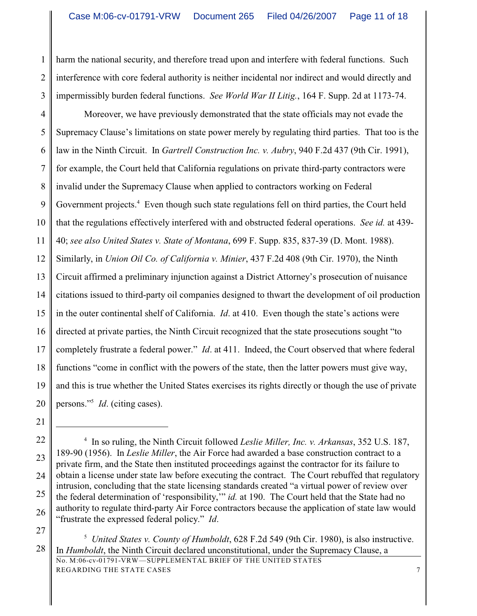1 2 3 harm the national security, and therefore tread upon and interfere with federal functions. Such interference with core federal authority is neither incidental nor indirect and would directly and impermissibly burden federal functions. *See World War II Litig.*, 164 F. Supp. 2d at 1173-74.

4 5 6 7 8 9 10 11 12 13 14 15 16 17 18 19 20 Moreover, we have previously demonstrated that the state officials may not evade the Supremacy Clause's limitations on state power merely by regulating third parties. That too is the law in the Ninth Circuit. In *Gartrell Construction Inc. v. Aubry*, 940 F.2d 437 (9th Cir. 1991), for example, the Court held that California regulations on private third-party contractors were invalid under the Supremacy Clause when applied to contractors working on Federal Government projects.<sup>4</sup> Even though such state regulations fell on third parties, the Court held that the regulations effectively interfered with and obstructed federal operations. *See id.* at 439- 40; *see also United States v. State of Montana*, 699 F. Supp. 835, 837-39 (D. Mont. 1988). Similarly, in *Union Oil Co. of California v. Minier*, 437 F.2d 408 (9th Cir. 1970), the Ninth Circuit affirmed a preliminary injunction against a District Attorney's prosecution of nuisance citations issued to third-party oil companies designed to thwart the development of oil production in the outer continental shelf of California. *Id*. at 410. Even though the state's actions were directed at private parties, the Ninth Circuit recognized that the state prosecutions sought "to completely frustrate a federal power." *Id*. at 411. Indeed, the Court observed that where federal functions "come in conflict with the powers of the state, then the latter powers must give way, and this is true whether the United States exercises its rights directly or though the use of private persons."<sup>5</sup> *Id.* (citing cases).

21

27

<sup>22</sup> 23 24 25 26 <sup>4</sup> In so ruling, the Ninth Circuit followed *Leslie Miller, Inc. v. Arkansas*, 352 U.S. 187, 189-90 (1956). In *Leslie Miller*, the Air Force had awarded a base construction contract to a private firm, and the State then instituted proceedings against the contractor for its failure to obtain a license under state law before executing the contract. The Court rebuffed that regulatory intrusion, concluding that the state licensing standards created "a virtual power of review over the federal determination of 'responsibility,'" *id.* at 190. The Court held that the State had no authority to regulate third-party Air Force contractors because the application of state law would "frustrate the expressed federal policy." *Id*.

<sup>&</sup>lt;sup>5</sup> United States v. County of Humboldt, 628 F.2d 549 (9th Cir. 1980), is also instructive. In *Humboldt*, the Ninth Circuit declared unconstitutional, under the Supremacy Clause, a No. M:06-cv-01791-VRW—SUPPLEMENTAL BRIEF OF THE UNITED STATES REGARDING THE STATE CASES  $\overline{7}$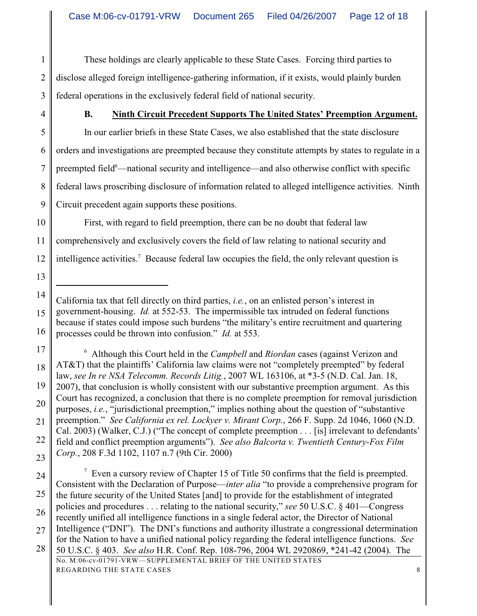1 2 3 These holdings are clearly applicable to these State Cases. Forcing third parties to disclose alleged foreign intelligence-gathering information, if it exists, would plainly burden federal operations in the exclusively federal field of national security.

4

## **B. Ninth Circuit Precedent Supports The United States' Preemption Argument.**

5 6 7 8 9 In our earlier briefs in these State Cases, we also established that the state disclosure orders and investigations are preempted because they constitute attempts by states to regulate in a preempted field<sup>6</sup>—national security and intelligence—and also otherwise conflict with specific federal laws proscribing disclosure of information related to alleged intelligence activities. Ninth Circuit precedent again supports these positions.

10 11 12 First, with regard to field preemption, there can be no doubt that federal law comprehensively and exclusively covers the field of law relating to national security and intelligence activities.<sup>7</sup> Because federal law occupies the field, the only relevant question is

13

17 18 19 20 21 22 23 <sup>6</sup> Although this Court held in the *Campbell* and *Riordan* cases (against Verizon and AT&T) that the plaintiffs' California law claims were not "completely preempted" by federal law, *see In re NSA Telecomm. Records Litig.*, 2007 WL 163106, at \*3-5 (N.D. Cal. Jan. 18, 2007), that conclusion is wholly consistent with our substantive preemption argument. As this Court has recognized, a conclusion that there is no complete preemption for removal jurisdiction purposes, *i.e.*, "jurisdictional preemption," implies nothing about the question of "substantive preemption." *See California ex rel. Lockyer v. Mirant Corp.*, 266 F. Supp. 2d 1046, 1060 (N.D. Cal. 2003) (Walker, C.J.) ("The concept of complete preemption . . . [is] irrelevant to defendants' field and conflict preemption arguments"). *See also Balcorta v. Twentieth Century-Fox Film Corp.*, 208 F.3d 1102, 1107 n.7 (9th Cir. 2000)

24 25 26 27 28  $\frac{7}{1}$  Even a cursory review of Chapter 15 of Title 50 confirms that the field is preempted. Consistent with the Declaration of Purpose—*inter alia* "to provide a comprehensive program for the future security of the United States [and] to provide for the establishment of integrated policies and procedures . . . relating to the national security," *see* 50 U.S.C. § 401—Congress recently unified all intelligence functions in a single federal actor, the Director of National Intelligence ("DNI"). The DNI's functions and authority illustrate a congressional determination for the Nation to have a unified national policy regarding the federal intelligence functions. *See* 50 U.S.C. § 403. *See also* H.R. Conf. Rep. 108-796, 2004 WL 2920869, \*241-42 (2004). The No. M:06-cv-01791-VRW—SUPPLEMENTAL BRIEF OF THE UNITED STATES REGARDING THE STATE CASES 8

<sup>14</sup> 15 16 California tax that fell directly on third parties, *i.e.*, on an enlisted person's interest in government-housing. *Id.* at 552-53. The impermissible tax intruded on federal functions because if states could impose such burdens "the military's entire recruitment and quartering processes could be thrown into confusion." *Id.* at 553.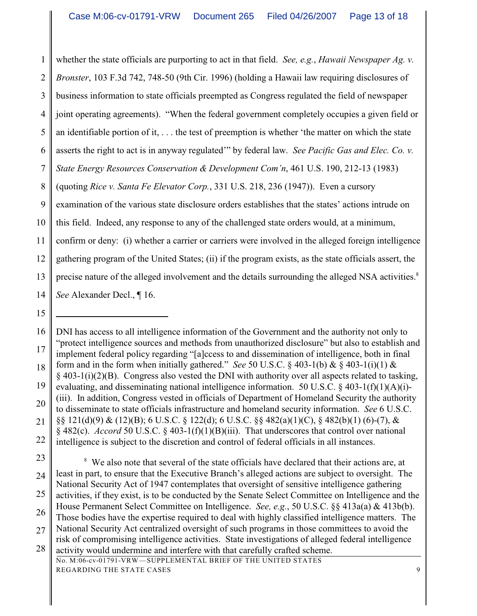1 whether the state officials are purporting to act in that field. *See, e.g.*, *Hawaii Newspaper Ag. v.*

2 *Bronster*, 103 F.3d 742, 748-50 (9th Cir. 1996) (holding a Hawaii law requiring disclosures of

3 business information to state officials preempted as Congress regulated the field of newspaper

4 joint operating agreements). "When the federal government completely occupies a given field or

5 an identifiable portion of it, . . . the test of preemption is whether 'the matter on which the state

6 asserts the right to act is in anyway regulated'" by federal law. *See Pacific Gas and Elec. Co. v.*

7 *State Energy Resources Conservation & Development Com'n*, 461 U.S. 190, 212-13 (1983)

8 (quoting *Rice v. Santa Fe Elevator Corp.*, 331 U.S. 218, 236 (1947)). Even a cursory

9 examination of the various state disclosure orders establishes that the states' actions intrude on

10 this field. Indeed, any response to any of the challenged state orders would, at a minimum,

11 confirm or deny: (i) whether a carrier or carriers were involved in the alleged foreign intelligence

12 gathering program of the United States; (ii) if the program exists, as the state officials assert, the

13 precise nature of the alleged involvement and the details surrounding the alleged NSA activities.<sup>8</sup>

14 *See* Alexander Decl., ¶ 16.

15

23 24 25 26 27 28 <sup>8</sup> We also note that several of the state officials have declared that their actions are, at least in part, to ensure that the Executive Branch's alleged actions are subject to oversight. The National Security Act of 1947 contemplates that oversight of sensitive intelligence gathering activities, if they exist, is to be conducted by the Senate Select Committee on Intelligence and the House Permanent Select Committee on Intelligence. *See, e.g.*, 50 U.S.C. §§ 413a(a) & 413b(b). Those bodies have the expertise required to deal with highly classified intelligence matters. The National Security Act centralized oversight of such programs in those committees to avoid the risk of compromising intelligence activities. State investigations of alleged federal intelligence activity would undermine and interfere with that carefully crafted scheme. No. M:06-cv-01791-VRW—SUPPLEMENTAL BRIEF OF THE UNITED STATES

REGARDING THE STATE CASES 9

<sup>16</sup> 17 18 19 20 21 22 DNI has access to all intelligence information of the Government and the authority not only to "protect intelligence sources and methods from unauthorized disclosure" but also to establish and implement federal policy regarding "[a]ccess to and dissemination of intelligence, both in final form and in the form when initially gathered." *See* 50 U.S.C. § 403-1(b) & § 403-1(i)(1) &  $§$  403-1(i)(2)(B). Congress also vested the DNI with authority over all aspects related to tasking, evaluating, and disseminating national intelligence information. 50 U.S.C. § 403-1(f)(1)(A)(i)- (iii). In addition, Congress vested in officials of Department of Homeland Security the authority to disseminate to state officials infrastructure and homeland security information. *See* 6 U.S.C. §§ 121(d)(9) & (12)(B); 6 U.S.C. § 122(d); 6 U.S.C. §§ 482(a)(1)(C), § 482(b)(1) (6)-(7), & § 482(c). *Accord* 50 U.S.C. § 403-1(f)(1)(B)(iii). That underscores that control over national intelligence is subject to the discretion and control of federal officials in all instances.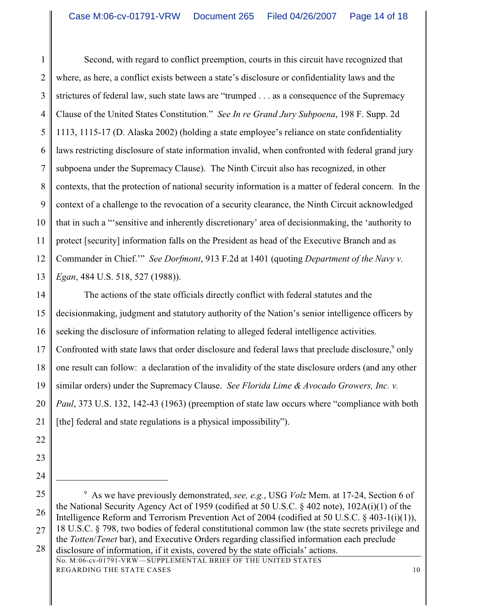1 2 3 4 5 6 7 8 9 10 11 12 13 Second, with regard to conflict preemption, courts in this circuit have recognized that where, as here, a conflict exists between a state's disclosure or confidentiality laws and the strictures of federal law, such state laws are "trumped . . . as a consequence of the Supremacy Clause of the United States Constitution." *See In re Grand Jury Subpoena*, 198 F. Supp. 2d 1113, 1115-17 (D. Alaska 2002) (holding a state employee's reliance on state confidentiality laws restricting disclosure of state information invalid, when confronted with federal grand jury subpoena under the Supremacy Clause). The Ninth Circuit also has recognized, in other contexts, that the protection of national security information is a matter of federal concern. In the context of a challenge to the revocation of a security clearance, the Ninth Circuit acknowledged that in such a "'sensitive and inherently discretionary' area of decisionmaking, the 'authority to protect [security] information falls on the President as head of the Executive Branch and as Commander in Chief.'" *See Dorfmont*, 913 F.2d at 1401 (quoting *Department of the Navy v. Egan*, 484 U.S. 518, 527 (1988)).

14 15 16 17 18 19 20 21 The actions of the state officials directly conflict with federal statutes and the decisionmaking, judgment and statutory authority of the Nation's senior intelligence officers by seeking the disclosure of information relating to alleged federal intelligence activities. Confronted with state laws that order disclosure and federal laws that preclude disclosure,<sup>9</sup> only one result can follow: a declaration of the invalidity of the state disclosure orders (and any other similar orders) under the Supremacy Clause. *See Florida Lime & Avocado Growers, Inc. v. Paul*, 373 U.S. 132, 142-43 (1963) (preemption of state law occurs where "compliance with both [the] federal and state regulations is a physical impossibility").

- 22
- 23
- 24

<sup>25</sup> 26 27 <sup>9</sup> As we have previously demonstrated, *see, e.g.*, USG *Volz* Mem. at 17-24, Section 6 of the National Security Agency Act of 1959 (codified at 50 U.S.C. § 402 note), 102A(i)(1) of the Intelligence Reform and Terrorism Prevention Act of 2004 (codified at 50 U.S.C. § 403-1(i)(1)), 18 U.S.C. § 798, two bodies of federal constitutional common law (the state secrets privilege and

<sup>28</sup> the *Totten*/*Tenet* bar), and Executive Orders regarding classified information each preclude disclosure of information, if it exists, covered by the state officials' actions.

No. M:06-cv-01791-VRW—SUPPLEMENTAL BRIEF OF THE UNITED STATES REGARDING THE STATE CASES 10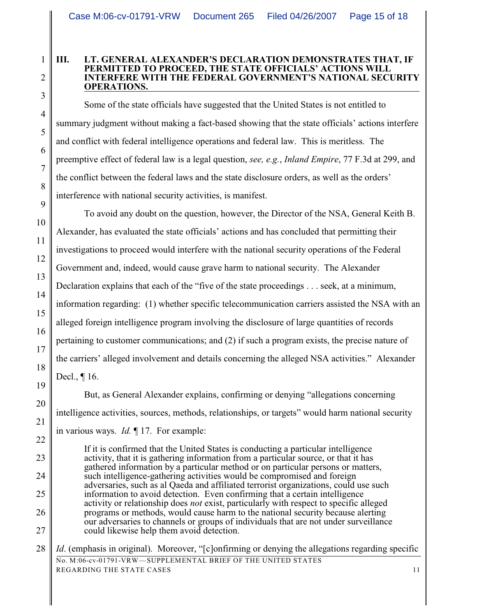#### **III. LT. GENERAL ALEXANDER'S DECLARATION DEMONSTRATES THAT, IF PERMITTED TO PROCEED, THE STATE OFFICIALS' ACTIONS WILL INTERFERE WITH THE FEDERAL GOVERNMENT'S NATIONAL SECURITY OPERATIONS.**

Some of the state officials have suggested that the United States is not entitled to summary judgment without making a fact-based showing that the state officials' actions interfere and conflict with federal intelligence operations and federal law. This is meritless. The preemptive effect of federal law is a legal question, *see, e.g.*, *Inland Empire*, 77 F.3d at 299, and the conflict between the federal laws and the state disclosure orders, as well as the orders' interference with national security activities, is manifest.

To avoid any doubt on the question, however, the Director of the NSA, General Keith B. Alexander, has evaluated the state officials' actions and has concluded that permitting their investigations to proceed would interfere with the national security operations of the Federal Government and, indeed, would cause grave harm to national security. The Alexander Declaration explains that each of the "five of the state proceedings . . . seek, at a minimum, information regarding: (1) whether specific telecommunication carriers assisted the NSA with an alleged foreign intelligence program involving the disclosure of large quantities of records pertaining to customer communications; and (2) if such a program exists, the precise nature of the carriers' alleged involvement and details concerning the alleged NSA activities." Alexander Decl., ¶ 16.

But, as General Alexander explains, confirming or denying "allegations concerning intelligence activities, sources, methods, relationships, or targets" would harm national security in various ways. *Id.* ¶ 17. For example:

If it is confirmed that the United States is conducting a particular intelligence activity, that it is gathering information from a particular source, or that it has gathered information by a particular method or on particular persons or matters, such intelligence-gathering activities would be compromised and foreign adversaries, such as al Qaeda and affiliated terrorist organizations, could use such information to avoid detection. Even confirming that a certain intelligence activity or relationship does *not* exist, particularly with respect to specific alleged programs or methods, would cause harm to the national security because alerting our adversaries to channels or groups of individuals that are not under surveillance could likewise help them avoid detection.

28 No. M:06-cv-01791-VRW—SUPPLEMENTAL BRIEF OF THE UNITED STATES REGARDING THE STATE CASES 11 *Id.* (emphasis in original). Moreover, "[c]onfirming or denying the allegations regarding specific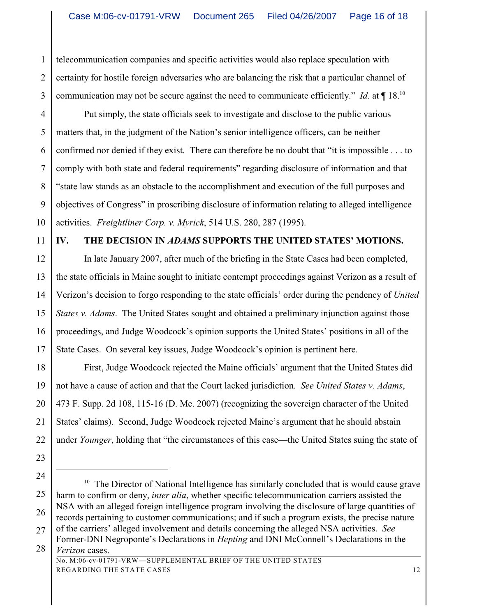1 2 3 telecommunication companies and specific activities would also replace speculation with certainty for hostile foreign adversaries who are balancing the risk that a particular channel of communication may not be secure against the need to communicate efficiently." *Id.* at  $\P$  18.<sup>10</sup>

4 5 6 7 8 9 10 Put simply, the state officials seek to investigate and disclose to the public various matters that, in the judgment of the Nation's senior intelligence officers, can be neither confirmed nor denied if they exist. There can therefore be no doubt that "it is impossible . . . to comply with both state and federal requirements" regarding disclosure of information and that "state law stands as an obstacle to the accomplishment and execution of the full purposes and objectives of Congress" in proscribing disclosure of information relating to alleged intelligence activities. *Freightliner Corp. v. Myrick*, 514 U.S. 280, 287 (1995).

### 11

# **IV. THE DECISION IN** *ADAMS* **SUPPORTS THE UNITED STATES' MOTIONS.**

12 13 14 15 16 17 In late January 2007, after much of the briefing in the State Cases had been completed, the state officials in Maine sought to initiate contempt proceedings against Verizon as a result of Verizon's decision to forgo responding to the state officials' order during the pendency of *United States v. Adams*. The United States sought and obtained a preliminary injunction against those proceedings, and Judge Woodcock's opinion supports the United States' positions in all of the State Cases. On several key issues, Judge Woodcock's opinion is pertinent here.

18 19 20 21 22 First, Judge Woodcock rejected the Maine officials' argument that the United States did not have a cause of action and that the Court lacked jurisdiction. *See United States v. Adams*, 473 F. Supp. 2d 108, 115-16 (D. Me. 2007) (recognizing the sovereign character of the United States' claims). Second, Judge Woodcock rejected Maine's argument that he should abstain under *Younger*, holding that "the circumstances of this case—the United States suing the state of

- 23
- 24

<sup>25</sup> 26 27  $10$  The Director of National Intelligence has similarly concluded that is would cause grave harm to confirm or deny, *inter alia*, whether specific telecommunication carriers assisted the NSA with an alleged foreign intelligence program involving the disclosure of large quantities of records pertaining to customer communications; and if such a program exists, the precise nature of the carriers' alleged involvement and details concerning the alleged NSA activities. *See*

<sup>28</sup> Former-DNI Negroponte's Declarations in *Hepting* and DNI McConnell's Declarations in the *Verizon* cases.

No. M:06-cv-01791-VRW—SUPPLEMENTAL BRIEF OF THE UNITED STATES REGARDING THE STATE CASES 12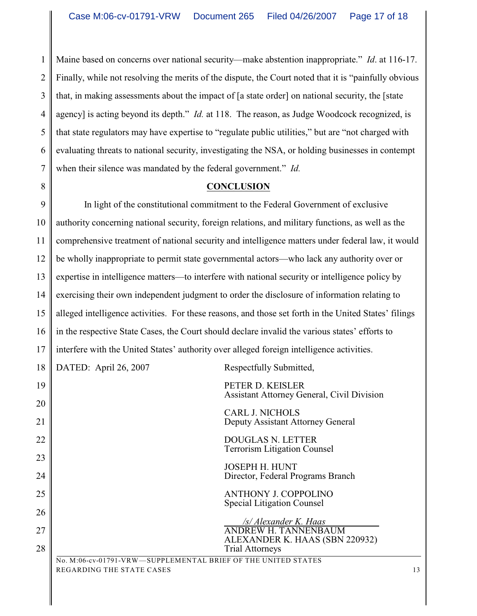1 2 3 4 5 6 7 Maine based on concerns over national security—make abstention inappropriate." *Id*. at 116-17. Finally, while not resolving the merits of the dispute, the Court noted that it is "painfully obvious that, in making assessments about the impact of [a state order] on national security, the [state agency] is acting beyond its depth." *Id.* at 118. The reason, as Judge Woodcock recognized, is that state regulators may have expertise to "regulate public utilities," but are "not charged with evaluating threats to national security, investigating the NSA, or holding businesses in contempt when their silence was mandated by the federal government." *Id.*

## 8

# **CONCLUSION**

9 10 11 12 13 14 15 16 17 In light of the constitutional commitment to the Federal Government of exclusive authority concerning national security, foreign relations, and military functions, as well as the comprehensive treatment of national security and intelligence matters under federal law, it would be wholly inappropriate to permit state governmental actors—who lack any authority over or expertise in intelligence matters—to interfere with national security or intelligence policy by exercising their own independent judgment to order the disclosure of information relating to alleged intelligence activities. For these reasons, and those set forth in the United States' filings in the respective State Cases, the Court should declare invalid the various states' efforts to interfere with the United States' authority over alleged foreign intelligence activities.

18 19 20 21 22 23 24 25 26 27 28 No. M:06-cv-01791-VRW—SUPPLEMENTAL BRIEF OF THE UNITED STATES DATED: April 26, 2007 Respectfully Submitted, PETER D. KEISLER Assistant Attorney General, Civil Division CARL J. NICHOLS Deputy Assistant Attorney General DOUGLAS N. LETTER Terrorism Litigation Counsel JOSEPH H. HUNT Director, Federal Programs Branch ANTHONY J. COPPOLINO Special Litigation Counsel  */s/ Alexander K. Haas*  ANDREW H. TANNENBAUM ALEXANDER K. HAAS (SBN 220932) Trial Attorneys

REGARDING THE STATE CASES 13